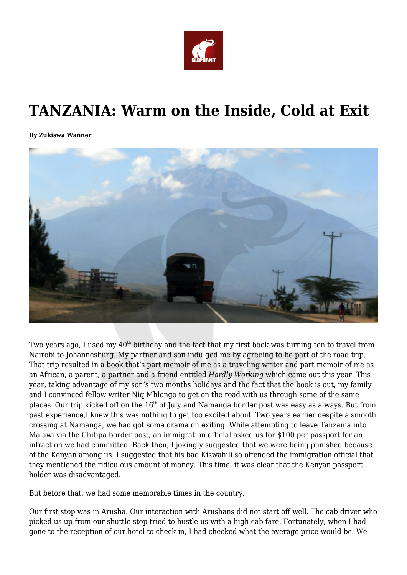

## **TANZANIA: Warm on the Inside, Cold at Exit**

**By Zukiswa Wanner**



Two years ago, I used my  $40<sup>th</sup>$  birthday and the fact that my first book was turning ten to travel from Nairobi to Johannesburg. My partner and son indulged me by agreeing to be part of the road trip. That trip resulted in a book that's part memoir of me as a traveling writer and part memoir of me as an African, a parent, a partner and a friend entitled *Hardly Working* which came out this year. This year, taking advantage of my son's two months holidays and the fact that the book is out, my family and I convinced fellow writer Niq Mhlongo to get on the road with us through some of the same places. Our trip kicked off on the  $16<sup>th</sup>$  of July and Namanga border post was easy as always. But from past experience,I knew this was nothing to get too excited about. Two years earlier despite a smooth crossing at Namanga, we had got some drama on exiting. While attempting to leave Tanzania into Malawi via the Chitipa border post, an immigration official asked us for \$100 per passport for an infraction we had committed. Back then, I jokingly suggested that we were being punished because of the Kenyan among us. I suggested that his bad Kiswahili so offended the immigration official that they mentioned the ridiculous amount of money. This time, it was clear that the Kenyan passport holder was disadvantaged.

But before that, we had some memorable times in the country.

Our first stop was in Arusha. Our interaction with Arushans did not start off well. The cab driver who picked us up from our shuttle stop tried to hustle us with a high cab fare. Fortunately, when I had gone to the reception of our hotel to check in, I had checked what the average price would be. We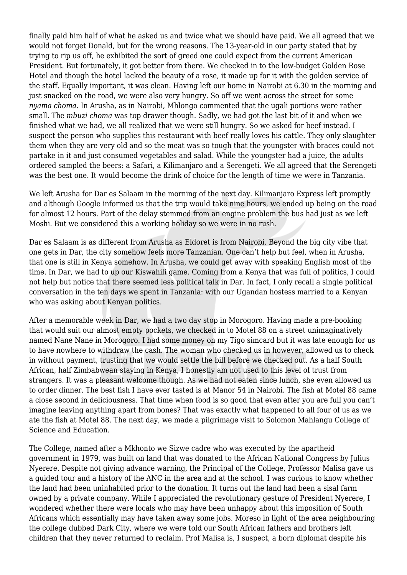finally paid him half of what he asked us and twice what we should have paid. We all agreed that we would not forget Donald, but for the wrong reasons. The 13-year-old in our party stated that by trying to rip us off, he exhibited the sort of greed one could expect from the current American President. But fortunately, it got better from there. We checked in to the low-budget Golden Rose Hotel and though the hotel lacked the beauty of a rose, it made up for it with the golden service of the staff. Equally important, it was clean. Having left our home in Nairobi at 6.30 in the morning and just snacked on the road, we were also very hungry. So off we went across the street for some *nyama choma*. In Arusha, as in Nairobi, Mhlongo commented that the ugali portions were rather small. The *mbuzi choma* was top drawer though. Sadly, we had got the last bit of it and when we finished what we had, we all realized that we were still hungry. So we asked for beef instead. I suspect the person who supplies this restaurant with beef really loves his cattle. They only slaughter them when they are very old and so the meat was so tough that the youngster with braces could not partake in it and just consumed vegetables and salad. While the youngster had a juice, the adults ordered sampled the beers: a Safari, a Kilimanjaro and a Serengeti. We all agreed that the Serengeti was the best one. It would become the drink of choice for the length of time we were in Tanzania.

We left Arusha for Dar es Salaam in the morning of the next day. Kilimanjaro Express left promptly and although Google informed us that the trip would take nine hours, we ended up being on the road for almost 12 hours. Part of the delay stemmed from an engine problem the bus had just as we left Moshi. But we considered this a working holiday so we were in no rush.

Dar es Salaam is as different from Arusha as Eldoret is from Nairobi. Beyond the big city vibe that one gets in Dar, the city somehow feels more Tanzanian. One can't help but feel, when in Arusha, that one is still in Kenya somehow. In Arusha, we could get away with speaking English most of the time. In Dar, we had to up our Kiswahili game. Coming from a Kenya that was full of politics, I could not help but notice that there seemed less political talk in Dar. In fact, I only recall a single political conversation in the ten days we spent in Tanzania: with our Ugandan hostess married to a Kenyan who was asking about Kenyan politics.

After a memorable week in Dar, we had a two day stop in Morogoro. Having made a pre-booking that would suit our almost empty pockets, we checked in to Motel 88 on a street unimaginatively named Nane Nane in Morogoro. I had some money on my Tigo simcard but it was late enough for us to have nowhere to withdraw the cash. The woman who checked us in however, allowed us to check in without payment, trusting that we would settle the bill before we checked out. As a half South African, half Zimbabwean staying in Kenya, I honestly am not used to this level of trust from strangers. It was a pleasant welcome though. As we had not eaten since lunch, she even allowed us to order dinner. The best fish I have ever tasted is at Manor 54 in Nairobi. The fish at Motel 88 came a close second in deliciousness. That time when food is so good that even after you are full you can't imagine leaving anything apart from bones? That was exactly what happened to all four of us as we ate the fish at Motel 88. The next day, we made a pilgrimage visit to Solomon Mahlangu College of Science and Education.

The College, named after a Mkhonto we Sizwe cadre who was executed by the apartheid government in 1979, was built on land that was donated to the African National Congress by Julius Nyerere. Despite not giving advance warning, the Principal of the College, Professor Malisa gave us a guided tour and a history of the ANC in the area and at the school. I was curious to know whether the land had been uninhabited prior to the donation. It turns out the land had been a sisal farm owned by a private company. While I appreciated the revolutionary gesture of President Nyerere, I wondered whether there were locals who may have been unhappy about this imposition of South Africans which essentially may have taken away some jobs. Moreso in light of the area neighbouring the college dubbed Dark City, where we were told our South African fathers and brothers left children that they never returned to reclaim. Prof Malisa is, I suspect, a born diplomat despite his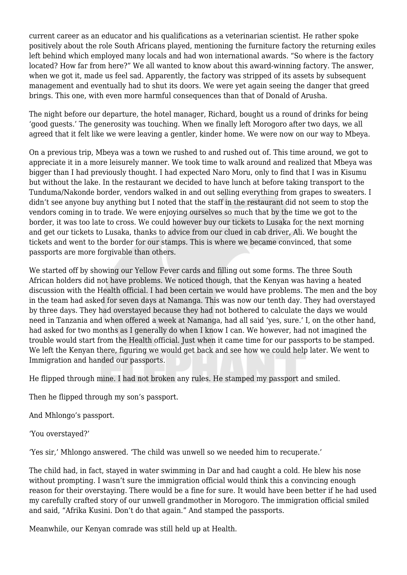current career as an educator and his qualifications as a veterinarian scientist. He rather spoke positively about the role South Africans played, mentioning the furniture factory the returning exiles left behind which employed many locals and had won international awards. "So where is the factory located? How far from here?" We all wanted to know about this award-winning factory. The answer, when we got it, made us feel sad. Apparently, the factory was stripped of its assets by subsequent management and eventually had to shut its doors. We were yet again seeing the danger that greed brings. This one, with even more harmful consequences than that of Donald of Arusha.

The night before our departure, the hotel manager, Richard, bought us a round of drinks for being 'good guests.' The generosity was touching. When we finally left Morogoro after two days, we all agreed that it felt like we were leaving a gentler, kinder home. We were now on our way to Mbeya.

On a previous trip, Mbeya was a town we rushed to and rushed out of. This time around, we got to appreciate it in a more leisurely manner. We took time to walk around and realized that Mbeya was bigger than I had previously thought. I had expected Naro Moru, only to find that I was in Kisumu but without the lake. In the restaurant we decided to have lunch at before taking transport to the Tunduma/Nakonde border, vendors walked in and out selling everything from grapes to sweaters. I didn't see anyone buy anything but I noted that the staff in the restaurant did not seem to stop the vendors coming in to trade. We were enjoying ourselves so much that by the time we got to the border, it was too late to cross. We could however buy our tickets to Lusaka for the next morning and get our tickets to Lusaka, thanks to advice from our clued in cab driver, Ali. We bought the tickets and went to the border for our stamps. This is where we became convinced, that some passports are more forgivable than others.

We started off by showing our Yellow Fever cards and filling out some forms. The three South African holders did not have problems. We noticed though, that the Kenyan was having a heated discussion with the Health official. I had been certain we would have problems. The men and the boy in the team had asked for seven days at Namanga. This was now our tenth day. They had overstayed by three days. They had overstayed because they had not bothered to calculate the days we would need in Tanzania and when offered a week at Namanga, had all said 'yes, sure.' I, on the other hand, had asked for two months as I generally do when I know I can. We however, had not imagined the trouble would start from the Health official. Just when it came time for our passports to be stamped. We left the Kenyan there, figuring we would get back and see how we could help later. We went to Immigration and handed our passports.

He flipped through mine. I had not broken any rules. He stamped my passport and smiled.

Then he flipped through my son's passport.

And Mhlongo's passport.

'You overstayed?'

'Yes sir,' Mhlongo answered. 'The child was unwell so we needed him to recuperate.'

The child had, in fact, stayed in water swimming in Dar and had caught a cold. He blew his nose without prompting. I wasn't sure the immigration official would think this a convincing enough reason for their overstaying. There would be a fine for sure. It would have been better if he had used my carefully crafted story of our unwell grandmother in Morogoro. The immigration official smiled and said, "Afrika Kusini. Don't do that again." And stamped the passports.

Meanwhile, our Kenyan comrade was still held up at Health.